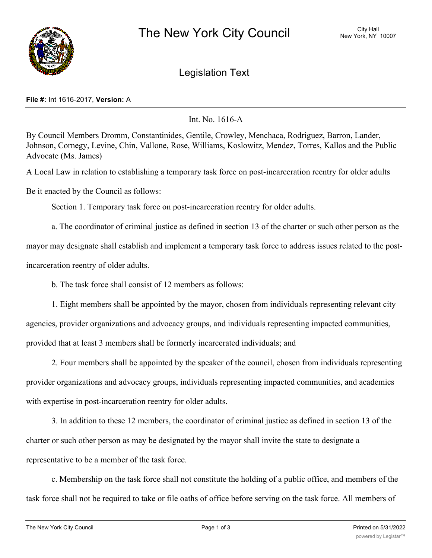

## Legislation Text

## **File #:** Int 1616-2017, **Version:** A

Int. No. 1616-A

By Council Members Dromm, Constantinides, Gentile, Crowley, Menchaca, Rodriguez, Barron, Lander, Johnson, Cornegy, Levine, Chin, Vallone, Rose, Williams, Koslowitz, Mendez, Torres, Kallos and the Public Advocate (Ms. James)

A Local Law in relation to establishing a temporary task force on post-incarceration reentry for older adults

## Be it enacted by the Council as follows:

Section 1. Temporary task force on post-incarceration reentry for older adults.

a. The coordinator of criminal justice as defined in section 13 of the charter or such other person as the

mayor may designate shall establish and implement a temporary task force to address issues related to the postincarceration reentry of older adults.

b. The task force shall consist of 12 members as follows:

1. Eight members shall be appointed by the mayor, chosen from individuals representing relevant city agencies, provider organizations and advocacy groups, and individuals representing impacted communities, provided that at least 3 members shall be formerly incarcerated individuals; and

2. Four members shall be appointed by the speaker of the council, chosen from individuals representing provider organizations and advocacy groups, individuals representing impacted communities, and academics with expertise in post-incarceration reentry for older adults.

3. In addition to these 12 members, the coordinator of criminal justice as defined in section 13 of the charter or such other person as may be designated by the mayor shall invite the state to designate a representative to be a member of the task force.

c. Membership on the task force shall not constitute the holding of a public office, and members of the task force shall not be required to take or file oaths of office before serving on the task force. All members of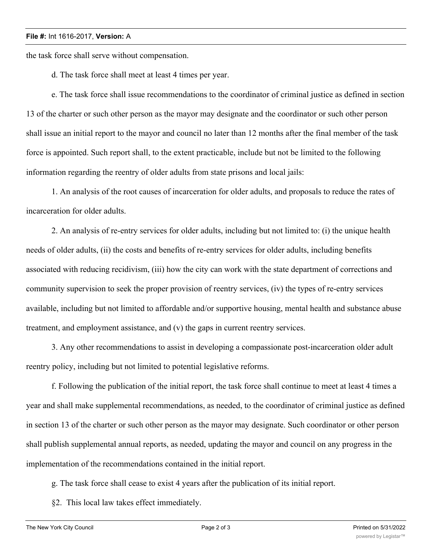## **File #:** Int 1616-2017, **Version:** A

the task force shall serve without compensation.

d. The task force shall meet at least 4 times per year.

e. The task force shall issue recommendations to the coordinator of criminal justice as defined in section 13 of the charter or such other person as the mayor may designate and the coordinator or such other person shall issue an initial report to the mayor and council no later than 12 months after the final member of the task force is appointed. Such report shall, to the extent practicable, include but not be limited to the following information regarding the reentry of older adults from state prisons and local jails:

1. An analysis of the root causes of incarceration for older adults, and proposals to reduce the rates of incarceration for older adults.

2. An analysis of re-entry services for older adults, including but not limited to: (i) the unique health needs of older adults, (ii) the costs and benefits of re-entry services for older adults, including benefits associated with reducing recidivism, (iii) how the city can work with the state department of corrections and community supervision to seek the proper provision of reentry services, (iv) the types of re-entry services available, including but not limited to affordable and/or supportive housing, mental health and substance abuse treatment, and employment assistance, and (v) the gaps in current reentry services.

3. Any other recommendations to assist in developing a compassionate post-incarceration older adult reentry policy, including but not limited to potential legislative reforms.

f. Following the publication of the initial report, the task force shall continue to meet at least 4 times a year and shall make supplemental recommendations, as needed, to the coordinator of criminal justice as defined in section 13 of the charter or such other person as the mayor may designate. Such coordinator or other person shall publish supplemental annual reports, as needed, updating the mayor and council on any progress in the implementation of the recommendations contained in the initial report.

g. The task force shall cease to exist 4 years after the publication of its initial report.

§2. This local law takes effect immediately.